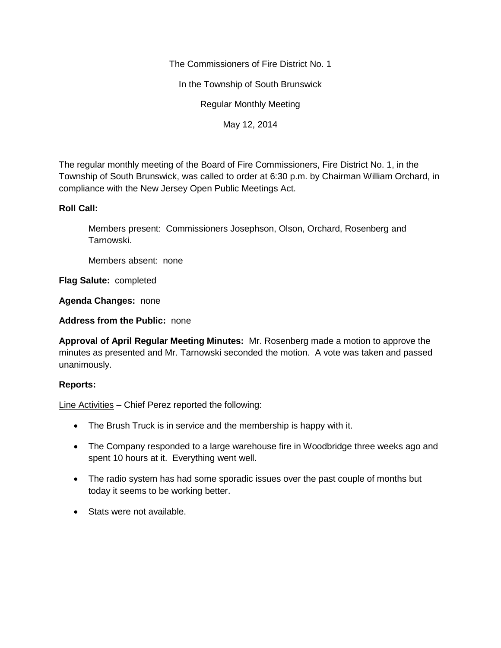The Commissioners of Fire District No. 1

In the Township of South Brunswick

Regular Monthly Meeting

May 12, 2014

The regular monthly meeting of the Board of Fire Commissioners, Fire District No. 1, in the Township of South Brunswick, was called to order at 6:30 p.m. by Chairman William Orchard, in compliance with the New Jersey Open Public Meetings Act.

# **Roll Call:**

Members present: Commissioners Josephson, Olson, Orchard, Rosenberg and Tarnowski.

Members absent: none

**Flag Salute:** completed

**Agenda Changes:** none

**Address from the Public:** none

**Approval of April Regular Meeting Minutes:** Mr. Rosenberg made a motion to approve the minutes as presented and Mr. Tarnowski seconded the motion. A vote was taken and passed unanimously.

# **Reports:**

Line Activities – Chief Perez reported the following:

- The Brush Truck is in service and the membership is happy with it.
- The Company responded to a large warehouse fire in Woodbridge three weeks ago and spent 10 hours at it. Everything went well.
- The radio system has had some sporadic issues over the past couple of months but today it seems to be working better.
- Stats were not available.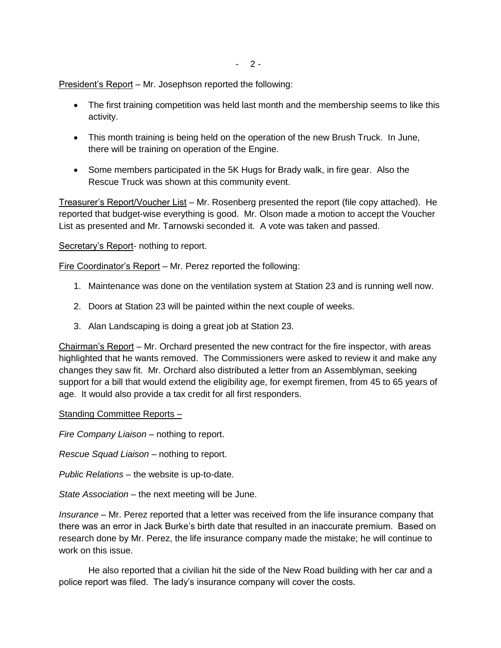$-2-$ 

President's Report – Mr. Josephson reported the following:

- The first training competition was held last month and the membership seems to like this activity.
- This month training is being held on the operation of the new Brush Truck. In June, there will be training on operation of the Engine.
- Some members participated in the 5K Hugs for Brady walk, in fire gear. Also the Rescue Truck was shown at this community event.

Treasurer's Report/Voucher List – Mr. Rosenberg presented the report (file copy attached). He reported that budget-wise everything is good. Mr. Olson made a motion to accept the Voucher List as presented and Mr. Tarnowski seconded it. A vote was taken and passed.

# Secretary's Report- nothing to report.

Fire Coordinator's Report – Mr. Perez reported the following:

- 1. Maintenance was done on the ventilation system at Station 23 and is running well now.
- 2. Doors at Station 23 will be painted within the next couple of weeks.
- 3. Alan Landscaping is doing a great job at Station 23.

Chairman's Report – Mr. Orchard presented the new contract for the fire inspector, with areas highlighted that he wants removed. The Commissioners were asked to review it and make any changes they saw fit. Mr. Orchard also distributed a letter from an Assemblyman, seeking support for a bill that would extend the eligibility age, for exempt firemen, from 45 to 65 years of age. It would also provide a tax credit for all first responders.

# Standing Committee Reports –

*Fire Company Liaison –* nothing to report.

*Rescue Squad Liaison –* nothing to report.

*Public Relations –* the website is up-to-date.

*State Association –* the next meeting will be June.

*Insurance –* Mr. Perez reported that a letter was received from the life insurance company that there was an error in Jack Burke's birth date that resulted in an inaccurate premium. Based on research done by Mr. Perez, the life insurance company made the mistake; he will continue to work on this issue.

He also reported that a civilian hit the side of the New Road building with her car and a police report was filed. The lady's insurance company will cover the costs.